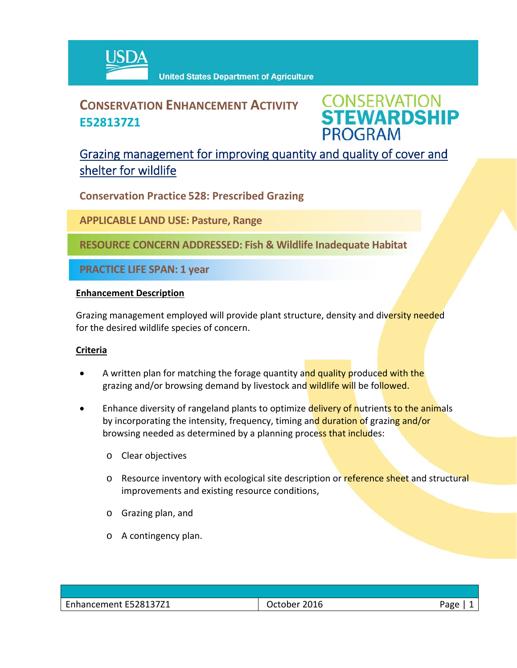

# **CONSERVATION ENHANCEMENT ACTIVITY E528137Z1**

**CONSERVATION<br>STEWARDSHIP PROGRAM** 

## Grazing management for improving quantity and quality of cover and shelter for wildlife

**Conservation Practice 528: Prescribed Grazing**

**APPLICABLE LAND USE: Pasture, Range**

**RESOURCE CONCERN ADDRESSED: Fish & Wildlife Inadequate Habitat**

**PRACTICE LIFE SPAN: 1 year**

#### **Enhancement Description**

Grazing management employed will provide plant structure, density and diversity needed for the desired wildlife species of concern.

### **Criteria**

- A written plan for matching the forage quantity and quality produced with the grazing and/or browsing demand by livestock and wildlife will be followed.
- Enhance diversity of rangeland plants to optimize delivery of nutrients to the animals by incorporating the intensity, frequency, timing and duration of grazing and/or browsing needed as determined by a planning process that includes:
	- o Clear objectives
	- o Resource inventory with ecological site description or reference sheet and structural improvements and existing resource conditions,
	- o Grazing plan, and
	- o A contingency plan.

| October 2016 | app . |
|--------------|-------|
|              |       |